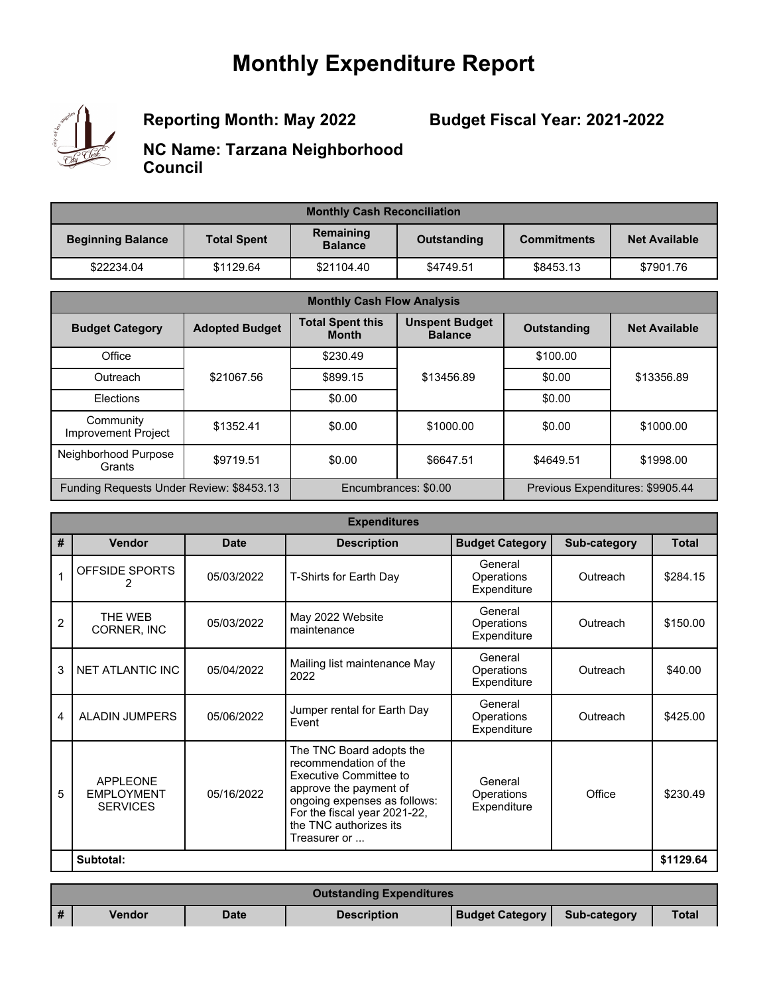## **Monthly Expenditure Report**



**Reporting Month: May 2022**

**Budget Fiscal Year: 2021-2022**

**NC Name: Tarzana Neighborhood Council**

| <b>Monthly Cash Reconciliation</b> |                    |                             |             |                    |                      |  |
|------------------------------------|--------------------|-----------------------------|-------------|--------------------|----------------------|--|
| <b>Beginning Balance</b>           | <b>Total Spent</b> | Remaining<br><b>Balance</b> | Outstanding | <b>Commitments</b> | <b>Net Available</b> |  |
| \$22234.04                         | \$1129.64          | \$21104.40                  | \$4749.51   | \$8453.13          | \$7901.76            |  |

| <b>Monthly Cash Flow Analysis</b>        |                       |                                         |                                         |                    |                                  |  |
|------------------------------------------|-----------------------|-----------------------------------------|-----------------------------------------|--------------------|----------------------------------|--|
| <b>Budget Category</b>                   | <b>Adopted Budget</b> | <b>Total Spent this</b><br><b>Month</b> | <b>Unspent Budget</b><br><b>Balance</b> | <b>Outstanding</b> | <b>Net Available</b>             |  |
| Office                                   |                       | \$230.49                                |                                         | \$100.00           |                                  |  |
| Outreach                                 | \$21067.56            | \$899.15                                | \$13456.89                              | \$0.00             | \$13356.89                       |  |
| Elections                                |                       | \$0.00                                  |                                         | \$0.00             |                                  |  |
| Community<br>Improvement Project         | \$1352.41             | \$0.00                                  | \$1000.00                               | \$0.00             | \$1000.00                        |  |
| Neighborhood Purpose<br>Grants           | \$9719.51             | \$0.00                                  | \$6647.51                               | \$4649.51          | \$1998.00                        |  |
| Funding Requests Under Review: \$8453.13 |                       |                                         | Encumbrances: \$0.00                    |                    | Previous Expenditures: \$9905.44 |  |

|                | <b>Expenditures</b>                                     |             |                                                                                                                                                                                                                        |                                      |              |              |  |
|----------------|---------------------------------------------------------|-------------|------------------------------------------------------------------------------------------------------------------------------------------------------------------------------------------------------------------------|--------------------------------------|--------------|--------------|--|
| #              | <b>Vendor</b>                                           | <b>Date</b> | <b>Description</b>                                                                                                                                                                                                     | <b>Budget Category</b>               | Sub-category | <b>Total</b> |  |
| 1              | OFFSIDE SPORTS                                          | 05/03/2022  | T-Shirts for Earth Day                                                                                                                                                                                                 | General<br>Operations<br>Expenditure | Outreach     | \$284.15     |  |
| $\overline{c}$ | THE WEB<br>CORNER, INC                                  | 05/03/2022  | May 2022 Website<br>maintenance                                                                                                                                                                                        | General<br>Operations<br>Expenditure | Outreach     | \$150.00     |  |
| 3              | NET ATLANTIC INC                                        | 05/04/2022  | Mailing list maintenance May<br>2022                                                                                                                                                                                   | General<br>Operations<br>Expenditure | Outreach     | \$40.00      |  |
| 4              | <b>ALADIN JUMPERS</b>                                   | 05/06/2022  | Jumper rental for Earth Day<br>Fvent                                                                                                                                                                                   | General<br>Operations<br>Expenditure | Outreach     | \$425.00     |  |
| 5              | <b>APPLEONE</b><br><b>EMPLOYMENT</b><br><b>SERVICES</b> | 05/16/2022  | The TNC Board adopts the<br>recommendation of the<br><b>Executive Committee to</b><br>approve the payment of<br>ongoing expenses as follows:<br>For the fiscal year 2021-22,<br>the TNC authorizes its<br>Treasurer or | General<br>Operations<br>Expenditure | Office       | \$230.49     |  |
|                | Subtotal:                                               |             |                                                                                                                                                                                                                        |                                      |              | \$1129.64    |  |

|          | <b>Outstanding Expenditures</b> |             |                    |                        |              |              |  |
|----------|---------------------------------|-------------|--------------------|------------------------|--------------|--------------|--|
| <b>#</b> | Vendor                          | <b>Date</b> | <b>Description</b> | <b>Budget Category</b> | Sub-category | <b>Total</b> |  |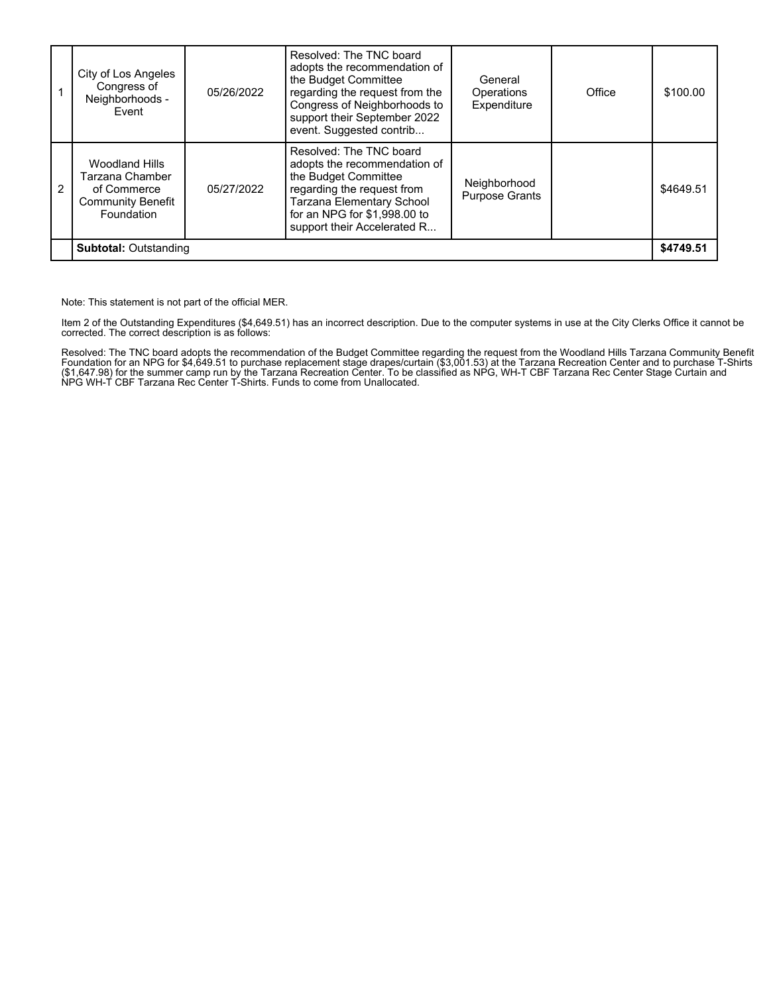|               | City of Los Angeles<br>Congress of<br>Neighborhoods -<br>Event                                    | 05/26/2022 | Resolved: The TNC board<br>adopts the recommendation of<br>the Budget Committee<br>regarding the request from the<br>Congress of Neighborhoods to<br>support their September 2022<br>event. Suggested contrib    | General<br>Operations<br>Expenditure  | Office | \$100.00  |
|---------------|---------------------------------------------------------------------------------------------------|------------|------------------------------------------------------------------------------------------------------------------------------------------------------------------------------------------------------------------|---------------------------------------|--------|-----------|
| $\mathcal{P}$ | <b>Woodland Hills</b><br>Tarzana Chamber<br>of Commerce<br><b>Community Benefit</b><br>Foundation | 05/27/2022 | Resolved: The TNC board<br>adopts the recommendation of<br>the Budget Committee<br>regarding the request from<br><b>Tarzana Elementary School</b><br>for an NPG for \$1,998.00 to<br>support their Accelerated R | Neighborhood<br><b>Purpose Grants</b> |        | \$4649.51 |
|               | <b>Subtotal: Outstanding</b>                                                                      |            |                                                                                                                                                                                                                  |                                       |        | \$4749.51 |

Note: This statement is not part of the official MER.

Item 2 of the Outstanding Expenditures (\$4,649.51) has an incorrect description. Due to the computer systems in use at the City Clerks Office it cannot be corrected. The correct description is as follows:

Resolved: The TNC board adopts the recommendation of the Budget Committee regarding the request from the Woodland Hills Tarzana Community Benefit<br>Foundation for an NPG for \$4,649.51 to purchase replacement stage drapes/cur (\$1,647.98) for the summer camp run by the Tarzana Recreation Center. To be classified as NPG, WH-T CBF Tarzana Rec Center Stage Curtain and NPG WH-T CBF Tarzana Rec Center T-Shirts. Funds to come from Unallocated.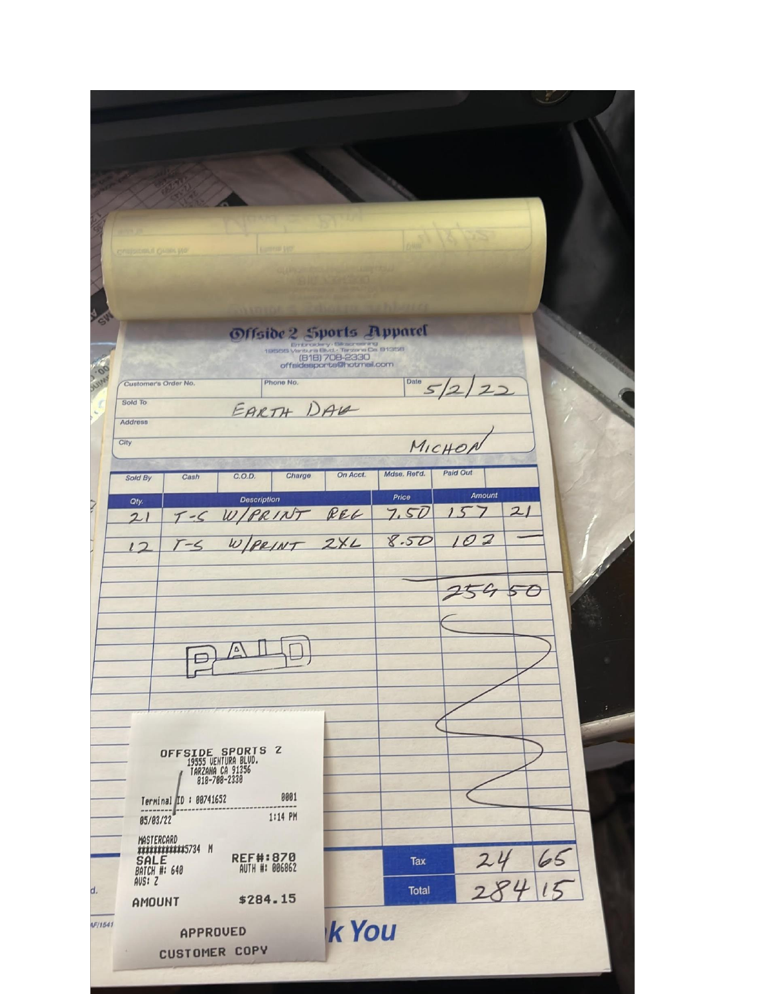| <b>Gamesus List</b><br>grappeteaut Quant Mo-                                                                                                                      |                                                                         |
|-------------------------------------------------------------------------------------------------------------------------------------------------------------------|-------------------------------------------------------------------------|
| Offside 2 Sports Apparel<br>offaidesports@hotmail.com<br>Phone No.<br>Customer's Order No.<br>Sold To<br>EARTH DAG<br>Address                                     | $0^{\text{late}}$ 5/2/22                                                |
| City<br>Charge<br>C.O.D.<br>Sold By<br>Cash                                                                                                                       | MICHON<br>Paid Out<br>Mdse. Ret'd.<br>On Acct.                          |
| <b>Description</b><br>Oty.<br>T-S W/PRINT REL<br>21<br>$T-S$ W/PRINT 2XL<br>12                                                                                    | Amount<br>Price<br>21<br>7.50<br>15<br>8.50<br>102<br><b>AND REPAIR</b> |
| $\mathbf{1}$<br>$\sqrt{2}$<br>Freezeway and a service                                                                                                             |                                                                         |
| OFFSIDE SPORTS 2<br>19555 VENTURA BLVD.<br>  TARZANA CA 91356<br>  818-708-2330<br>0001<br>Terminal ID: 00741652<br>1:14 PM<br>05/03/22                           |                                                                         |
| MASTERCARD<br>************5734 M<br><b>REF#:870</b><br>SALE<br>BATCH #: 640<br>AUTH #: 006862<br>AVS: 2<br>d.<br>\$284.15<br>AMOUNT<br>LF/1541<br><b>APPROUED</b> | 65<br>Tax<br>Total<br><b>k</b> You                                      |
| CUSTOMER COPY                                                                                                                                                     |                                                                         |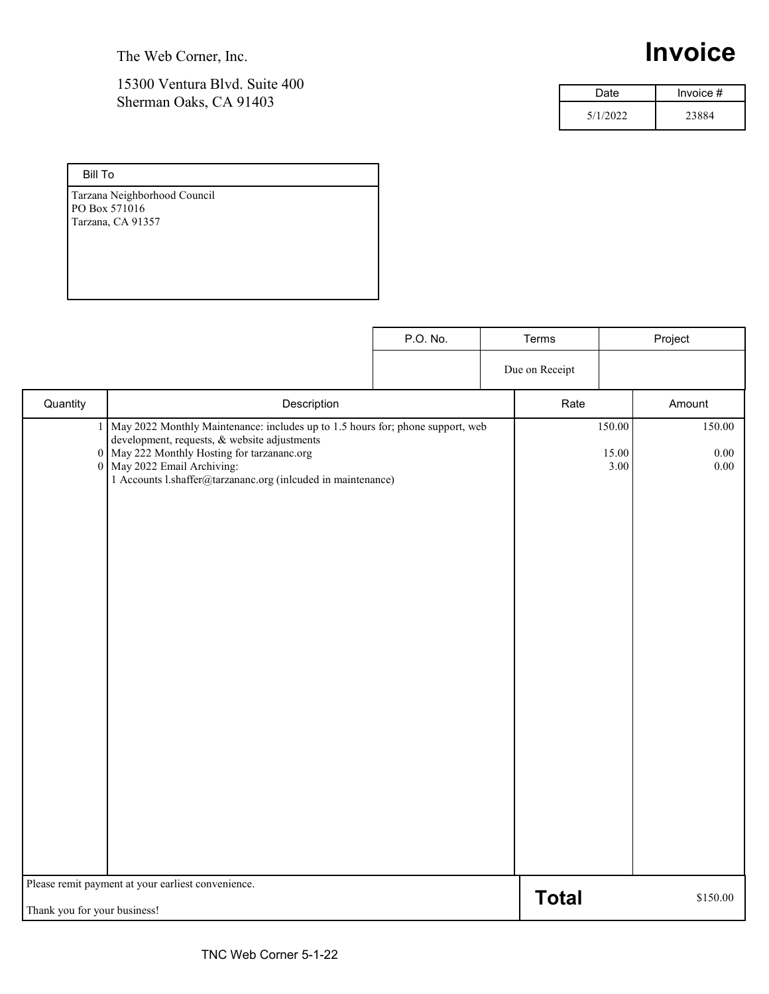The Web Corner, Inc.

#### 15300 Ventura Blvd. Suite 400 Sherman Oaks, CA 91403

# **Invoice**

| Date     | Invoice $#$ |
|----------|-------------|
| 5/1/2022 | 23884       |

| <b>Bill To</b>               |
|------------------------------|
| Tarzana Neighborhood Council |
| PO Box 571016                |
| Tarzana, CA 91357            |
|                              |
|                              |
|                              |
|                              |

|                                                                                                    |                                                                                                                                                                                                                                                                              | P.O. No. | Terms          |                         | Project                |
|----------------------------------------------------------------------------------------------------|------------------------------------------------------------------------------------------------------------------------------------------------------------------------------------------------------------------------------------------------------------------------------|----------|----------------|-------------------------|------------------------|
|                                                                                                    |                                                                                                                                                                                                                                                                              |          | Due on Receipt |                         |                        |
| Quantity                                                                                           | Description                                                                                                                                                                                                                                                                  |          | Rate           |                         | Amount                 |
| 1                                                                                                  | May 2022 Monthly Maintenance: includes up to 1.5 hours for; phone support, web<br>development, requests, & website adjustments<br>0 May 222 Monthly Hosting for tarzananc.org<br>0 May 2022 Email Archiving:<br>1 Accounts l.shaffer@tarzananc.org (inlcuded in maintenance) |          |                | 150.00<br>15.00<br>3.00 | 150.00<br>0.00<br>0.00 |
| Please remit payment at your earliest convenience.<br><b>Total</b><br>Thank you for your business! |                                                                                                                                                                                                                                                                              |          | \$150.00       |                         |                        |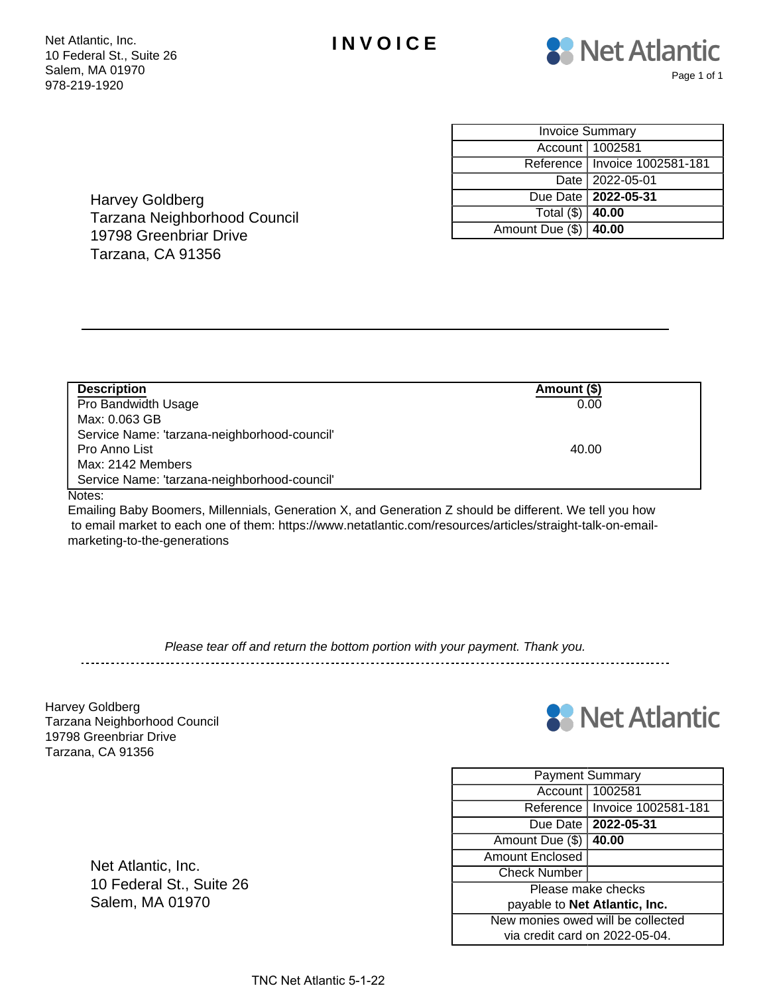



| <b>Invoice Summary</b>  |                                 |  |  |  |
|-------------------------|---------------------------------|--|--|--|
|                         | Account   1002581               |  |  |  |
|                         | Reference   Invoice 1002581-181 |  |  |  |
|                         | Date   2022-05-01               |  |  |  |
|                         | Due Date   2022-05-31           |  |  |  |
| Total $(\$)$ 40.00      |                                 |  |  |  |
| Amount Due (\$)   40.00 |                                 |  |  |  |

Harvey Goldberg Tarzana Neighborhood Council 19798 Greenbriar Drive Tarzana, CA 91356

| <b>Description</b>                           | Amount (\$) |
|----------------------------------------------|-------------|
| Pro Bandwidth Usage                          | 0.00        |
| Max: 0.063 GB                                |             |
| Service Name: 'tarzana-neighborhood-council' |             |
| Pro Anno List                                | 40.00       |
| Max: 2142 Members                            |             |
| Service Name: 'tarzana-neighborhood-council' |             |

Notes:

Emailing Baby Boomers, Millennials, Generation X, and Generation Z should be different. We tell you how to email market to each one of them: https://www.netatlantic.com/resources/articles/straight-talk-on-emailmarketing-to-the-generations

Please tear off and return the bottom portion with your payment. Thank you.

Harvey Goldberg Tarzana Neighborhood Council 19798 Greenbriar Drive Tarzana, CA 91356



| <b>Payment Summary</b>            |                       |  |  |  |
|-----------------------------------|-----------------------|--|--|--|
|                                   | Account   1002581     |  |  |  |
| Reference                         | Invoice 1002581-181   |  |  |  |
|                                   | Due Date   2022-05-31 |  |  |  |
| Amount Due (\$)                   | 40.00                 |  |  |  |
| <b>Amount Enclosed</b>            |                       |  |  |  |
| <b>Check Number</b>               |                       |  |  |  |
| Please make checks                |                       |  |  |  |
| payable to Net Atlantic, Inc.     |                       |  |  |  |
| New monies owed will be collected |                       |  |  |  |
| via credit card on 2022-05-04.    |                       |  |  |  |

Net Atlantic, Inc. 10 Federal St., Suite 26 Salem, MA 01970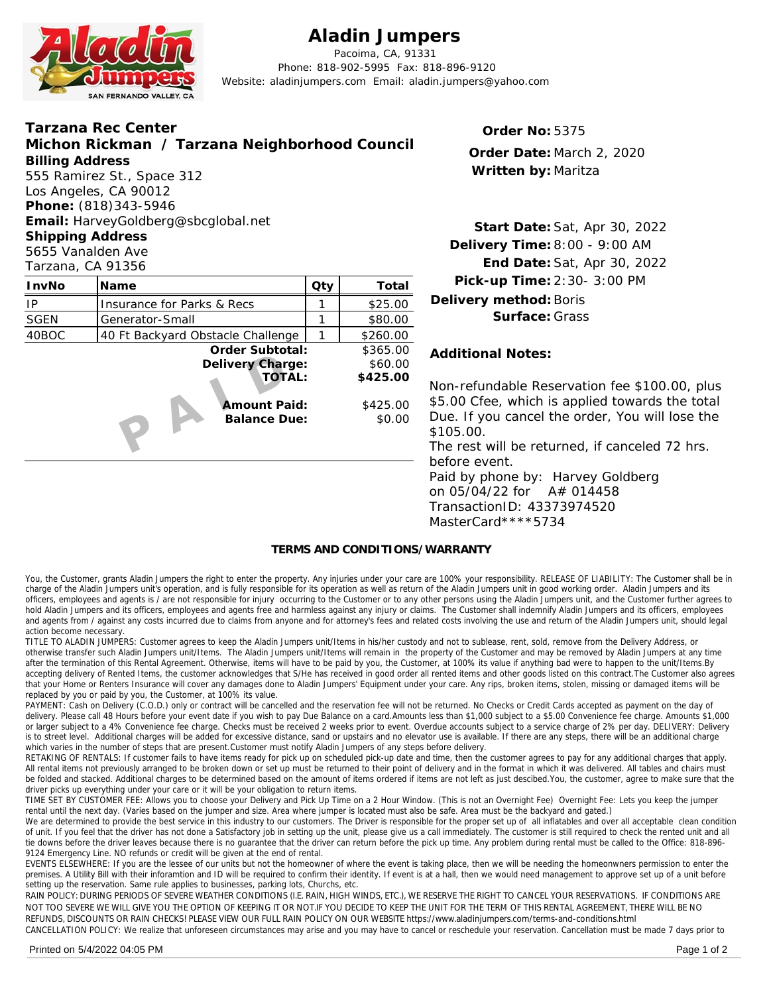

### **Aladin Jumpers**

Pacoima, CA, 91331 Phone: 818-902-5995 Fax: 818-896-9120 Website: aladinjumpers.com Email: aladin.jumpers@yahoo.com

| Email: HarveyGoldberg@sbcglobal.net<br><b>Shipping Address</b><br>Delivery Time: 8:00 - 9:00 AM<br>5655 Vanalden Ave<br>Tarzana, CA 91356<br>InvNo<br>Qty<br>Total<br>Name<br>Delivery method: Boris<br>\$25.00<br>IP<br>Insurance for Parks & Recs<br><b>SGEN</b><br>\$80.00<br>Generator-Small<br>40BOC<br>40 Ft Backyard Obstacle Challenge<br>\$260.00<br>Order Subtotal:<br>\$365.00<br><b>Additional Notes:</b><br>Delivery Charge:<br>\$60.00 | Start Date: Sat, Apr 30, 20                                                                                                                            |
|------------------------------------------------------------------------------------------------------------------------------------------------------------------------------------------------------------------------------------------------------------------------------------------------------------------------------------------------------------------------------------------------------------------------------------------------------|--------------------------------------------------------------------------------------------------------------------------------------------------------|
|                                                                                                                                                                                                                                                                                                                                                                                                                                                      | End Date: Sat, Apr 30, 20                                                                                                                              |
|                                                                                                                                                                                                                                                                                                                                                                                                                                                      | Pick-up Time: 2:30-3:00 PM                                                                                                                             |
|                                                                                                                                                                                                                                                                                                                                                                                                                                                      |                                                                                                                                                        |
|                                                                                                                                                                                                                                                                                                                                                                                                                                                      | Surface: Grass                                                                                                                                         |
|                                                                                                                                                                                                                                                                                                                                                                                                                                                      |                                                                                                                                                        |
| TOTAL:<br>\$425.00<br>Amount Paid:<br>\$425.00<br><b>Balance Due:</b><br>\$0.00<br>\$105.00.<br>before event.                                                                                                                                                                                                                                                                                                                                        | Non-refundable Reservation fee \$1<br>\$5.00 Cfee, which is applied towar<br>Due. If you cancel the order, You<br>The rest will be returned, if cancel |

Start Date: Sat, Apr 30, 2022 8:00 - 9:00 AM **Delivery Time:** End Date: Sat, Apr 30, 2022 **Delivery method:**Boris **Surface:** Grass

Non-refundable Reservation fee \$100.00, plus \$425.00 \$5.00 Cfee, which is applied towards the total \$0.00 Due. If you cancel the order, You will lose the \$105.00

> The rest will be returned, if canceled 72 hrs. before event. Paid by phone by: Harvey Goldberg

on 05/04/22 for A# 014458 TransactionID: 43373974520 MasterCard\*\*\*\*5734

#### **TERMS AND CONDITIONS/WARRANTY**

You, the Customer, grants Aladin Jumpers the right to enter the property. Any injuries under your care are 100% your responsibility. RELEASE OF LIABILITY: The Customer shall be in charge of the Aladin Jumpers unit's operation, and is fully responsible for its operation as well as return of the Aladin Jumpers unit in good working order. Aladin Jumpers and its officers, employees and agents is / are not responsible for injury occurring to the Customer or to any other persons using the Aladin Jumpers unit, and the Customer further agrees to hold Aladin Jumpers and its officers, employees and agents free and harmless against any injury or claims. The Customer shall indemnify Aladin Jumpers and its officers, employees and agents from / against any costs incurred due to claims from anyone and for attorney's fees and related costs involving the use and return of the Aladin Jumpers unit, should legal and return of the Aladin Jumpers unit, action become necessary.

TITLE TO ALADIN JUMPERS: Customer agrees to keep the Aladin Jumpers unit/Items in his/her custody and not to sublease, rent, sold, remove from theDelivery Address, or otherwise transfer such Aladin Jumpers unit/Items. The Aladin Jumpers unit/Items will remain in the property of the Customer and may be removed by Aladin Jumpers at any time after the termination ofthis Rental Agreement. Otherwise, items will have to be paid by you, the Customer, at 100% its value if anything bad were to happen to the unit/Items.By accepting delivery of Rented Items, the customer acknowledges that S/He has received in good order all rented items and other goods listed on this contract.The Customer also agrees that your Home or Renters Insurance will cover any damages done to Aladin Jumpers' Equipment under your care. Any rips, broken items, stolen, missing or damaged items will be replaced by you or paid by you, the Customer, at 100% its value.

PAYMENT: Cash on Delivery (C.O.D.) only or contract will be cancelled and the reservation fee will not be returned. No Checks or Credit Cards accepted as payment on the day of delivery. Please call 48 Hours before your event date if you wish to pay Due Balance on a card.Amounts less than \$1,000 subject to a \$5.00 Convenience fee charge. Amounts \$1,000 or larger subject to a 4% Convenience fee charge. Checks must be received 2 weeks prior to event. Overdue accounts subject to a service charge of 2% per day. DELIVERY: Delivery is to street level. Additional charges will be added for excessive distance, sand or upstairs and no elevator use is available. If there are any steps, there will be an additional charge which varies in the number of steps that are present.Customer must notify Aladin Jumpers of any steps before delivery.

RETAKING OF RENTALS: If customer fails to have items ready for pick up on scheduled pick-up date and time, then the customer agrees to pay for any additional charges that apply. All rental items not previously arranged to be broken down or set up must be returned to their point of delivery and in the format in which it was delivered. All tables and chairs must be folded and stacked. Additional charges to be determined based on the amount of items ordered if items are not left as just descibed.You, the customer, agree to make sure that the driver picks up everything under your care or it will be your obligation to return items.

TIME SET BY CUSTOMER FEE: Allows you to choose your Delivery and Pick Up Time on a 2 Hour Window. (This is not an Overnight Fee) Overnight Fee: Lets you keep the jumper rental until the next day. (Varies based on the jumper and size. Area where jumper is located must also be safe. Area must be the backyard and gated.)

We are determined to provide the best service in this industry to our customers. The Driver is responsible for the proper set up of all inflatables and over all acceptable clean condition of unit. If you feel that the driver has not done a Satisfactory job in setting up the unit, please give us a call immediately. The customer is still required to check the rented unit and all tie downs before the driver leaves because there is no guarantee that the driver can return before the pick up time. Any problem during rental must be called to the Office: 818-896- 9124 Emergency Line. NO refunds or credit will be given at the end of rental.

EVENTS ELSEWHERE: If you are the lessee ofour units but not the homeowner of where the event is taking place, then we will be needing the homeonwners permission to enter the premises. A Utility Bill with their inforamtion and ID will be required to confirm their identity. If event is at a hall, then we would need management to approve set up of a unit before setting up the reservation. Same rule applies to businesses, parking lots, Churchs, etc.

RAIN POLICY: DURING PERIODS OF SEVERE WEATHER CONDITIONS (I.E. RAIN, HIGH WINDS, ETC.), WE RESERVE THE RIGHT TO CANCEL YOUR RESERVATIONS. IF CONDITIONS ARE NOT TOO SEVERE WE WILL GIVE YOU THE OPTION OF KEEPING IT OR NOT.IF YOU DECIDE TO KEEP THE UNIT FOR THE TERM OF THIS RENTAL AGREEMENT, THERE WILL BE NO REFUNDS, DISCOUNTS OR RAIN CHECKS! PLEASE VIEW OUR FULL RAIN POLICY ON OUR WEBSITE https://www.aladinjumpers.com/terms-and-conditions.html

CANCELLATION POLICY: We realize that unforeseen circumstances may arise and you may have to cancel or reschedule your reservation. Cancellation must be made 7 days prior to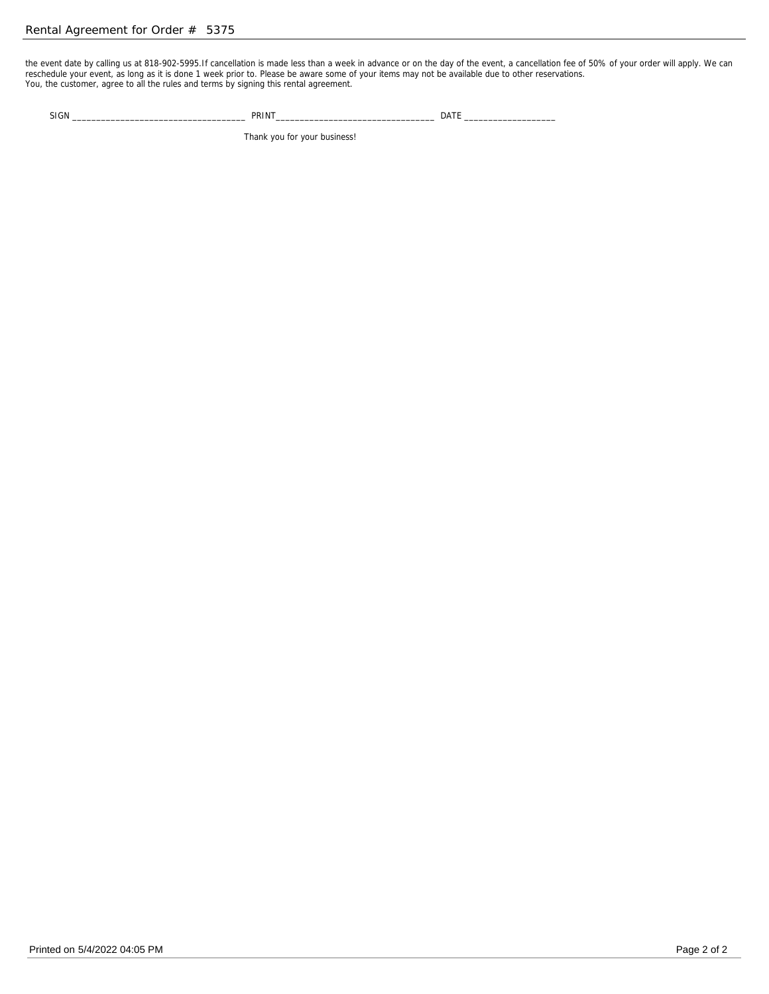the event date by calling us at 818-902-5995.If cancellation is made less than a week in advance or on the day of the event, a cancellation fee of50% of your order will apply. We can reschedule your event, as long as it is done 1 week prior to. Please be aware some of your items may not be available due to other reservations. You, the customer, agree to all the rules and terms by signing this rental agreement.

SIGN \_\_\_\_\_\_\_\_\_\_\_\_\_\_\_\_\_\_\_\_\_\_\_\_\_\_\_\_\_\_\_\_\_\_\_\_ PRINT\_\_\_\_\_\_\_\_\_\_\_\_\_\_\_\_\_\_\_\_\_\_\_\_\_\_\_\_\_\_\_\_\_ DATE \_\_\_\_\_\_\_\_\_\_\_\_\_\_\_\_\_\_\_

Thank you for your business!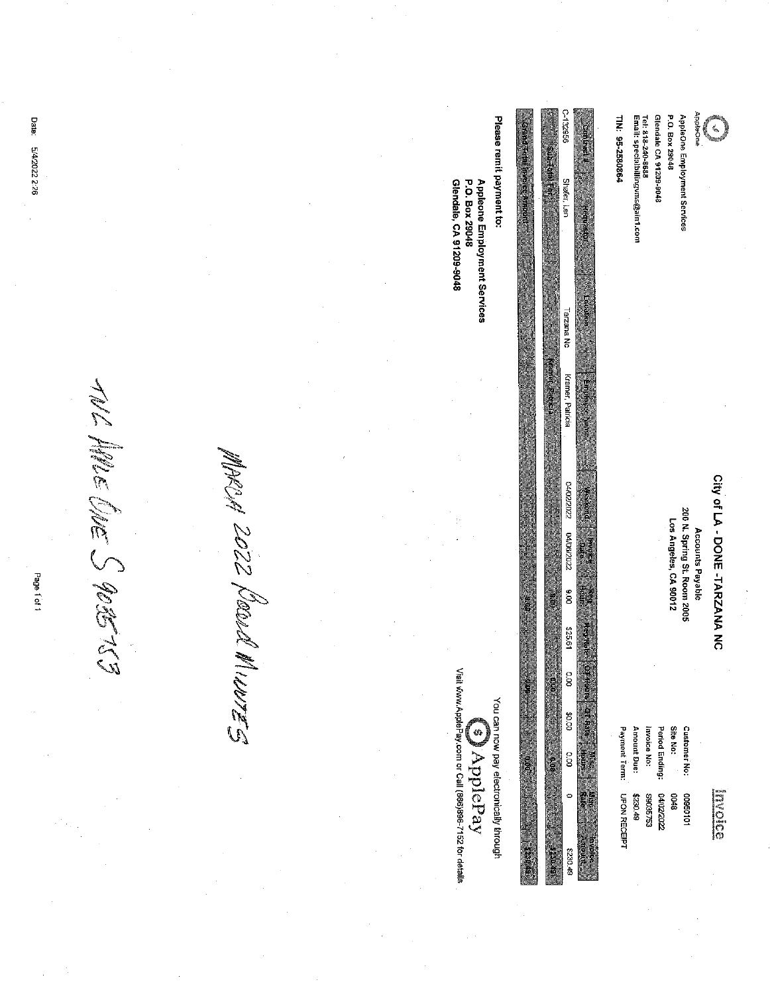| <b>Date:</b><br>5/4/2022 2:26         |             | Please remit payment to:<br><b>INTO AN ON OWNER WELL PUBLIC</b><br>Glendale, CA 91209-9048<br>Appleone Employment Services<br>P.O. Box 29048 | 996261<br><b>Subfinition Part</b><br>Shafer, Len<br><b>CALCAR</b>                                                                                                     | Glendale CA 91209-9048<br>Tel: 818-240-8688<br>Email: specialbillingvms@ain1.com<br>TIN: 95-2580864                      | enOsigone<br>P.O. Box 29048<br>AppleOne Employment Services                     |                               |
|---------------------------------------|-------------|----------------------------------------------------------------------------------------------------------------------------------------------|-----------------------------------------------------------------------------------------------------------------------------------------------------------------------|--------------------------------------------------------------------------------------------------------------------------|---------------------------------------------------------------------------------|-------------------------------|
| <b>ANDER</b><br>SILENS<br>Page 1 of 1 | 220<br>(DD) |                                                                                                                                              | Tarzana No<br><b>Controllering</b><br>Kramer, Patricia<br>Ematewee Nem<br>04/02/2022<br>Here ke<br>04/06/2022<br>OC 6<br><b>OR</b><br>é<br>$\hat{\hat{a}}$<br>\$25.61 |                                                                                                                          | 200 N. Spring St. Room 2005<br>Los Angeles, CA 90012<br><b>Accounts Payable</b> | City of LA - DONE -TARZANA NC |
|                                       | SEXAMI      | Visit www.ApplePay.com or Call (866)898-7152 for details<br>You can now pay electronically through<br>Ø<br>ApplePay<br>spoint.               | ODHONIA<br>$\frac{1}{2}$<br><b>ST Rate   Maria</b><br>ST Rate   Maria<br>00'0\$<br>D.OO<br>aise<br>Aise<br>$\circ$<br><b>Rinder</b><br>Simburg<br>8230.49             | Payment Term:<br>Invoice No:<br>Period Ending:<br>Amount Due:<br><b>UPON RECEIPT</b><br>2202/2022<br>86035753<br>8230.49 | Site No:<br>Customer No:<br>8000<br>10109800                                    | Elioso                        |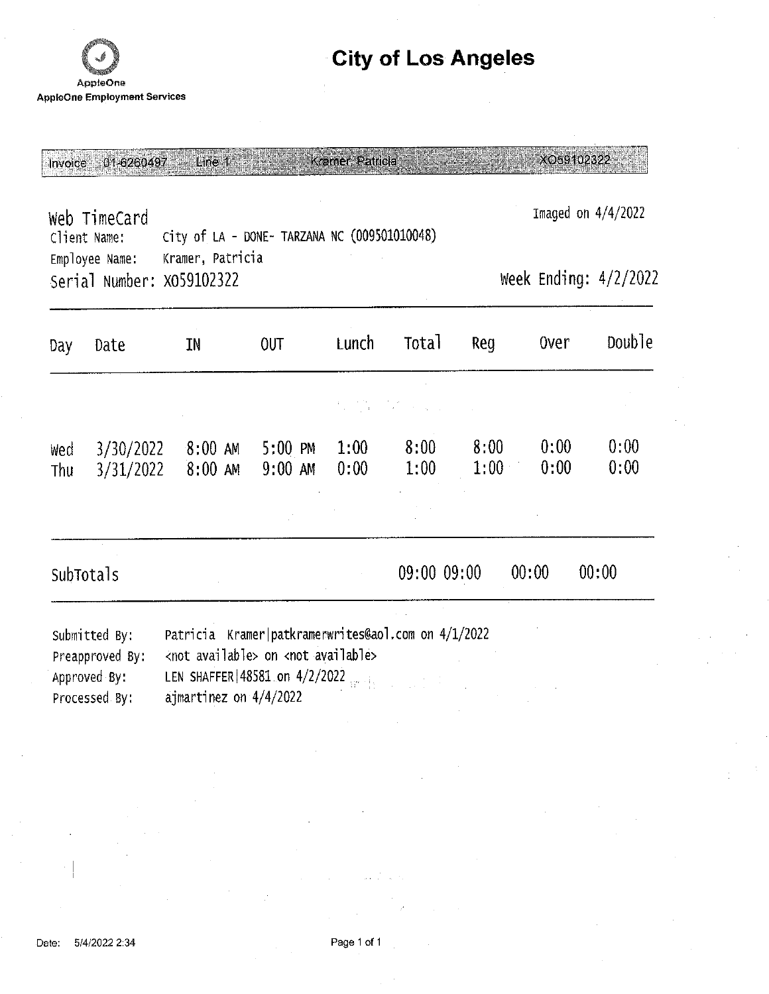

### **City of Los Angeles**

Invoice 01-6260497 Line 1 Kramer, Patricia

XO59102322

Web TimeCard City of LA - DONE- TARZANA NC (009501010048) Client Name: Kramer, Patricia Employee Name: Serial Number: X059102322

Imaged on 4/4/2022

Week Ending: 4/2/2022

| Day        | Date                   | ΙN                     | <b>OUT</b>                       | Lunch        | Total                                                                                                                                                                                                                            | Reg          | <b>Over</b>  | Doub <sub>le</sub> |
|------------|------------------------|------------------------|----------------------------------|--------------|----------------------------------------------------------------------------------------------------------------------------------------------------------------------------------------------------------------------------------|--------------|--------------|--------------------|
|            |                        |                        |                                  |              | a de la constitución de la constitución de la constitución de la constitución de la constitución de la constit<br>En la constitución de la constitución de la constitución de la constitución de la constitución de la constituc |              |              |                    |
| Wed<br>Thu | 3/30/2022<br>3/31/2022 | $8:00$ AM<br>$8:00$ AM | $5:00 \, \text{PM}$<br>$9:00$ AM | 1:00<br>0:00 | 8:00<br>1:00                                                                                                                                                                                                                     | 8:00<br>1:00 | 0:00<br>0:00 | 0:00<br>0:00       |
|            |                        |                        |                                  |              |                                                                                                                                                                                                                                  |              |              |                    |
|            | SubTotals              |                        |                                  |              | 09:00 09:00                                                                                                                                                                                                                      |              | 00:00        | 00:00              |
|            | $Cubw + rad$ $Dtt$     | $D^{\text{th}}$        |                                  |              |                                                                                                                                                                                                                                  |              |              |                    |

Submitted By: Patricia Kramer|patkramerwrites@aol.com on 4/1/2022 Preapproved By: <not available> on <not available> LEN SHAFFER | 48581 on 4/2/2022 Approved By: ajmartinez on 4/4/2022 Processed By: